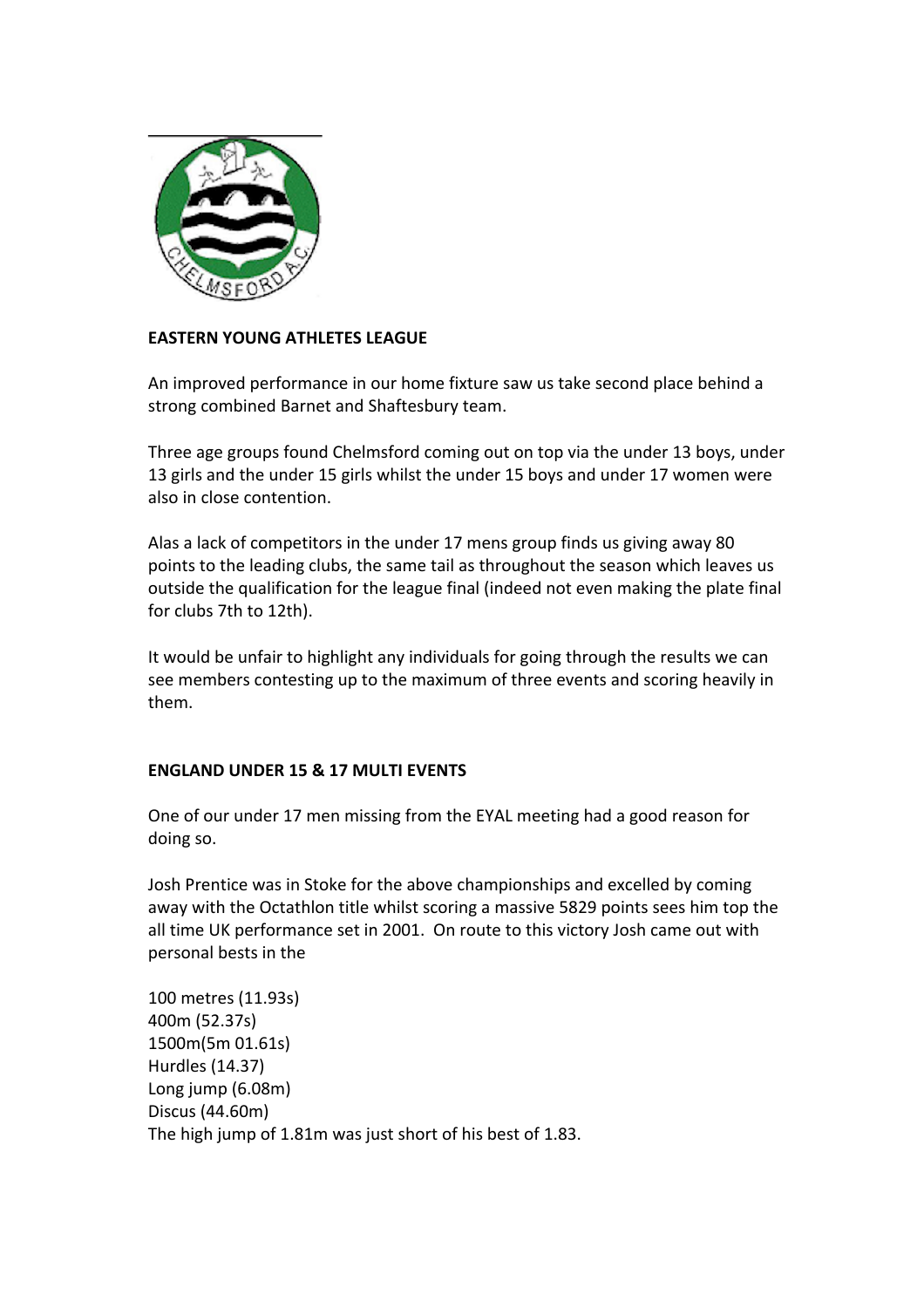

## **EASTERN YOUNG ATHLETES LEAGUE**

An improved performance in our home fixture saw us take second place behind a strong combined Barnet and Shaftesbury team.

Three age groups found Chelmsford coming out on top via the under 13 boys, under 13 girls and the under 15 girls whilst the under 15 boys and under 17 women were also in close contention.

Alas a lack of competitors in the under 17 mens group finds us giving away 80 points to the leading clubs, the same tail as throughout the season which leaves us outside the qualification for the league final (indeed not even making the plate final for clubs 7th to 12th).

It would be unfair to highlight any individuals for going through the results we can see members contesting up to the maximum of three events and scoring heavily in them.

## **ENGLAND UNDER 15 & 17 MULTI EVENTS**

One of our under 17 men missing from the EYAL meeting had a good reason for doing so.

Josh Prentice was in Stoke for the above championships and excelled by coming away with the Octathlon title whilst scoring a massive 5829 points sees him top the all time UK performance set in 2001. On route to this victory Josh came out with personal bests in the

100 metres (11.93s) 400m (52.37s) 1500m(5m 01.61s) Hurdles (14.37) Long jump  $(6.08m)$ Discus (44.60m) The high jump of 1.81m was just short of his best of 1.83.